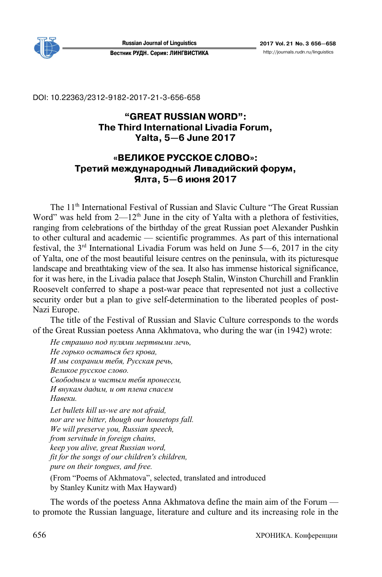

**Russian Journal of Linguistics 2017 Vol. 21 No. 3 656—658**  Вестник РУДН. Серия: ЛИНГВИСТИКА http://journals.rudn.ru/linguistics

DOI: 10.22363/2312-9182-2017-21-3-656-658

# **"GREAT RUSSIAN WORD": The Third International Livadia Forum, Yalta, 5—6 June 2017**

# **«ВЕЛИКОЕ РУССКОЕ СЛОВО»: Третий международный Ливадийский форум, Ялта, 5—6 июня 2017**

The 11<sup>th</sup> International Festival of Russian and Slavic Culture "The Great Russian Word" was held from  $2-12<sup>th</sup>$  June in the city of Yalta with a plethora of festivities, ranging from celebrations of the birthday of the great Russian poet Alexander Pushkin to other cultural and academic — scientific programmes. As part of this international festival, the  $3<sup>rd</sup>$  International Livadia Forum was held on June 5—6, 2017 in the city of Yalta, one of the most beautiful leisure centres on the peninsula, with its picturesque landscape and breathtaking view of the sea. It also has immense historical significance, for it was here, in the Livadia palace that Joseph Stalin, Winston Churchill and Franklin Roosevelt conferred to shape a post-war peace that represented not just a collective security order but a plan to give self-determination to the liberated peoples of post-Nazi Europe.

The title of the Festival of Russian and Slavic Culture corresponds to the words of the Great Russian poetess Anna Akhmatova, who during the war (in 1942) wrote:

*Не страшно под пулями мертвыми лечь, Не горько остаться без крова, И мы сохраним тебя, Русская речь, Великое русское слово. Свободным и чистым тебя пронесем, И внукам дадим, и от плена спасем Навеки. Let bullets kill us-we are not afraid, nor are we bitter, though our housetops fall. We will preserve you, Russian speech, from servitude in foreign chains, keep you alive, great Russian word, fit for the songs of our children's children, pure on their tongues, and free.* 

(From "Poems of Akhmatova", selected, translated and introduced by Stanley Kunitz with Max Hayward)

The words of the poetess Anna Akhmatova define the main aim of the Forum to promote the Russian language, literature and culture and its increasing role in the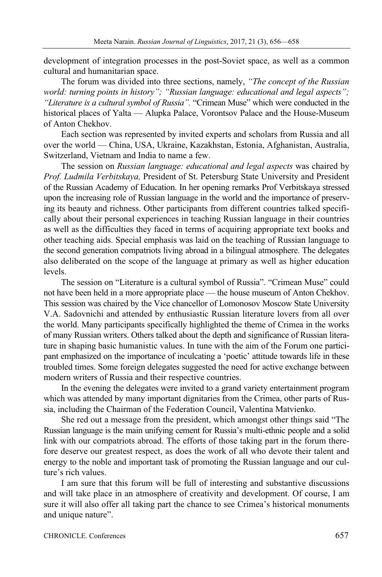development of integration processes in the post-Soviet space, as well as a common cultural and humanitarian space.

The forum was divided into three sections, namely, *"The concept of the Russian world: turning points in history"; "Russian language: educational and legal aspects"; "Literature is a cultural symbol of Russia".* "Crimean Muse" which were conducted in the historical places of Yalta — Alupka Palace, Vorontsov Palace and the House-Museum of Anton Chekhov.

Each section was represented by invited experts and scholars from Russia and all over the world — China, USA, Ukraine, Kazakhstan, Estonia, Afghanistan, Australia, Switzerland, Vietnam and India to name a few.

The session on *Russian language: educational and legal aspects* was chaired by *Prof. Ludmila Verbitskaya,* President of St. Petersburg State University and President of the Russian Academy of Education. In her opening remarks Prof Verbitskaya stressed upon the increasing role of Russian language in the world and the importance of preserving its beauty and richness. Other participants from different countries talked specifically about their personal experiences in teaching Russian language in their countries as well as the difficulties they faced in terms of acquiring appropriate text books and other teaching aids. Special emphasis was laid on the teaching of Russian language to the second generation compatriots living abroad in a bilingual atmosphere. The delegates also deliberated on the scope of the language at primary as well as higher education levels.

The session on "Literature is a cultural symbol of Russia". "Crimean Muse" could not have been held in a more appropriate place — the house museum of Anton Chekhov. This session was chaired by the Vice chancellor of Lomonosov Moscow State University V.A. Sadovnichi and attended by enthusiastic Russian literature lovers from all over the world. Many participants specifically highlighted the theme of Crimea in the works of many Russian writers. Others talked about the depth and significance of Russian literature in shaping basic humanistic values. In tune with the aim of the Forum one participant emphasized on the importance of inculcating a 'poetic' attitude towards life in these troubled times. Some foreign delegates suggested the need for active exchange between modern writers of Russia and their respective countries.

In the evening the delegates were invited to a grand variety entertainment program which was attended by many important dignitaries from the Crimea, other parts of Russia, including the Chairman of the Federation Council, Valentina Matvienko.

She red out a message from the president, which amongst other things said "The Russian language is the main unifying cement for Russia's multi-ethnic people and a solid link with our compatriots abroad. The efforts of those taking part in the forum therefore deserve our greatest respect, as does the work of all who devote their talent and energy to the noble and important task of promoting the Russian language and our culture's rich values.

I am sure that this forum will be full of interesting and substantive discussions and will take place in an atmosphere of creativity and development. Of course, I am sure it will also offer all taking part the chance to see Crimea's historical monuments and unique nature".